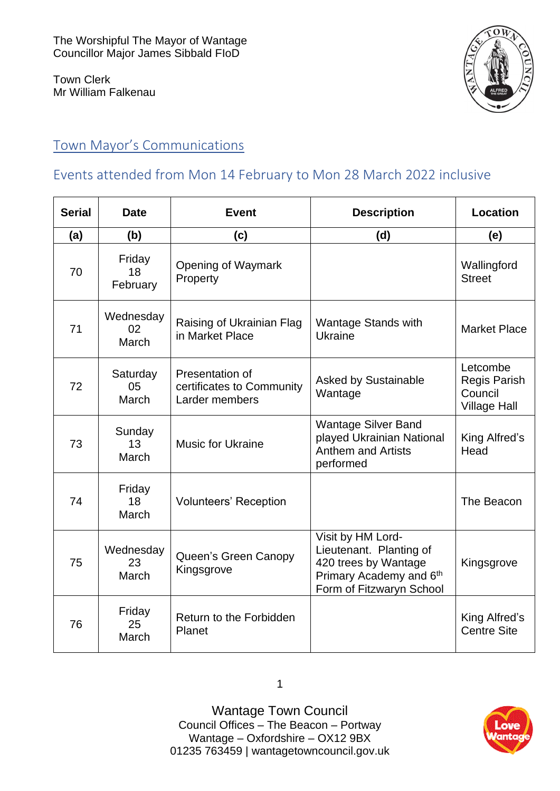Town Clerk Mr William Falkenau



## Town Mayor's Communications

## Events attended from Mon 14 February to Mon 28 March 2022 inclusive

| <b>Serial</b> | <b>Date</b>              | <b>Event</b>                                                   | <b>Description</b>                                                                                                          | Location                                                          |
|---------------|--------------------------|----------------------------------------------------------------|-----------------------------------------------------------------------------------------------------------------------------|-------------------------------------------------------------------|
| (a)           | (b)                      | (c)                                                            | (d)                                                                                                                         | (e)                                                               |
| 70            | Friday<br>18<br>February | Opening of Waymark<br>Property                                 |                                                                                                                             | Wallingford<br><b>Street</b>                                      |
| 71            | Wednesday<br>02<br>March | Raising of Ukrainian Flag<br>in Market Place                   | <b>Wantage Stands with</b><br><b>Ukraine</b>                                                                                | <b>Market Place</b>                                               |
| 72            | Saturday<br>05<br>March  | Presentation of<br>certificates to Community<br>Larder members | <b>Asked by Sustainable</b><br>Wantage                                                                                      | Letcombe<br><b>Regis Parish</b><br>Council<br><b>Village Hall</b> |
| 73            | Sunday<br>13<br>March    | <b>Music for Ukraine</b>                                       | <b>Wantage Silver Band</b><br>played Ukrainian National<br><b>Anthem and Artists</b><br>performed                           | King Alfred's<br>Head                                             |
| 74            | Friday<br>18<br>March    | <b>Volunteers' Reception</b>                                   |                                                                                                                             | The Beacon                                                        |
| 75            | Wednesday<br>23<br>March | Queen's Green Canopy<br>Kingsgrove                             | Visit by HM Lord-<br>Lieutenant. Planting of<br>420 trees by Wantage<br>Primary Academy and 6th<br>Form of Fitzwaryn School | Kingsgrove                                                        |
| 76            | Friday<br>25<br>March    | Return to the Forbidden<br>Planet                              |                                                                                                                             | King Alfred's<br><b>Centre Site</b>                               |

Wantage Town Council Council Offices – The Beacon – Portway Wantage – Oxfordshire – OX12 9BX [01235 763459](tel:+441235763459) | [wantagetowncouncil.gov.uk](https://wantagetowncouncil.gov.uk/)

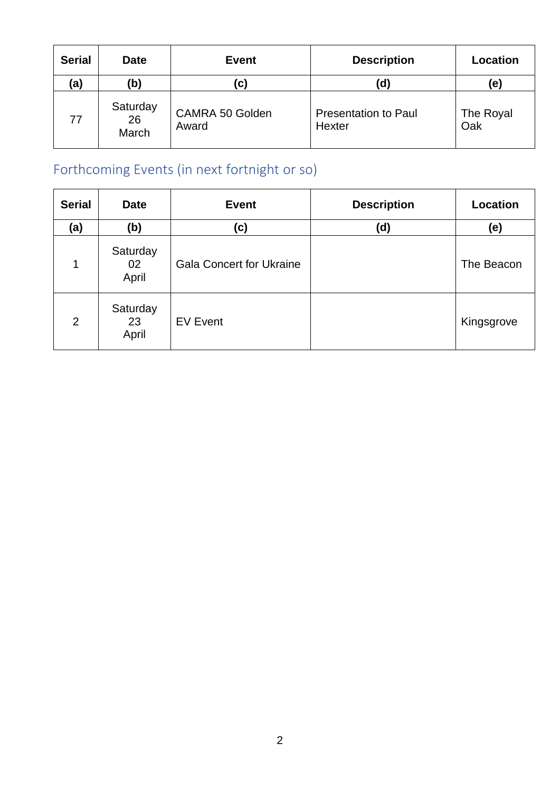| <b>Serial</b> | <b>Date</b>             | <b>Event</b>             | <b>Description</b>                    | Location         |
|---------------|-------------------------|--------------------------|---------------------------------------|------------------|
| (a)           | (b)                     | (C)                      | (d                                    | (e)              |
| 77            | Saturday<br>26<br>March | CAMRA 50 Golden<br>Award | <b>Presentation to Paul</b><br>Hexter | The Royal<br>Oak |

# Forthcoming Events (in next fortnight or so)

| <b>Serial</b>  | <b>Date</b>             | <b>Event</b>                    | <b>Description</b> | Location   |
|----------------|-------------------------|---------------------------------|--------------------|------------|
| (a)            | (b)                     | (c)                             | (d)                | (e)        |
| 1              | Saturday<br>02<br>April | <b>Gala Concert for Ukraine</b> |                    | The Beacon |
| $\overline{2}$ | Saturday<br>23<br>April | <b>EV Event</b>                 |                    | Kingsgrove |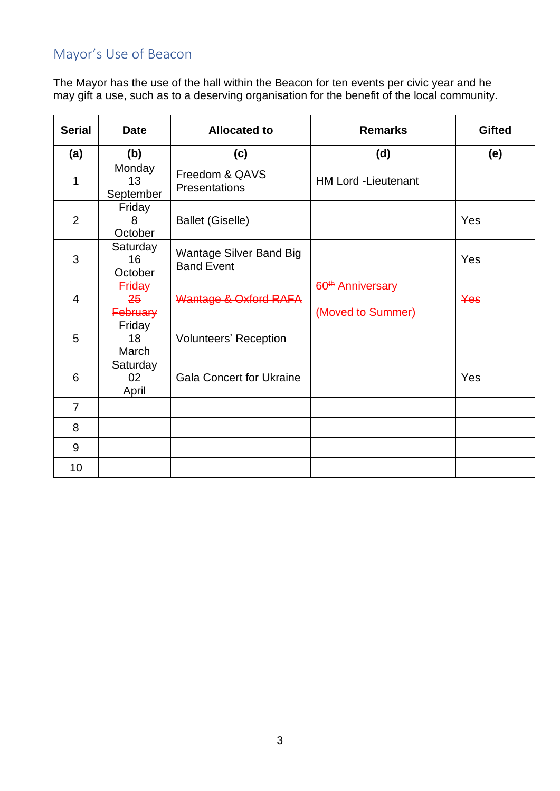## Mayor's Use of Beacon

The Mayor has the use of the hall within the Beacon for ten events per civic year and he may gift a use, such as to a deserving organisation for the benefit of the local community.

| <b>Serial</b>           | <b>Date</b>                            | <b>Allocated to</b>                                 | <b>Remarks</b>                                     | <b>Gifted</b> |
|-------------------------|----------------------------------------|-----------------------------------------------------|----------------------------------------------------|---------------|
| (a)                     | (b)                                    | (c)                                                 | (d)                                                | (e)           |
| 1                       | Monday<br>13<br>September              | Freedom & QAVS<br>Presentations                     | <b>HM Lord -Lieutenant</b>                         |               |
| $\overline{2}$          | Friday<br>8<br>October                 | <b>Ballet (Giselle)</b>                             |                                                    | Yes           |
| 3                       | Saturday<br>16<br>October              | <b>Wantage Silver Band Big</b><br><b>Band Event</b> |                                                    | Yes           |
| $\overline{\mathbf{4}}$ | <b>Friday</b><br>25<br><b>February</b> | Wantage & Oxford RAFA                               | 60 <sup>th</sup> -Anniversary<br>(Moved to Summer) | Yes           |
| 5                       | Friday<br>18<br>March                  | <b>Volunteers' Reception</b>                        |                                                    |               |
| 6                       | Saturday<br>02 <sub>2</sub><br>April   | <b>Gala Concert for Ukraine</b>                     |                                                    | Yes           |
| $\overline{7}$          |                                        |                                                     |                                                    |               |
| 8                       |                                        |                                                     |                                                    |               |
| 9                       |                                        |                                                     |                                                    |               |
| 10                      |                                        |                                                     |                                                    |               |